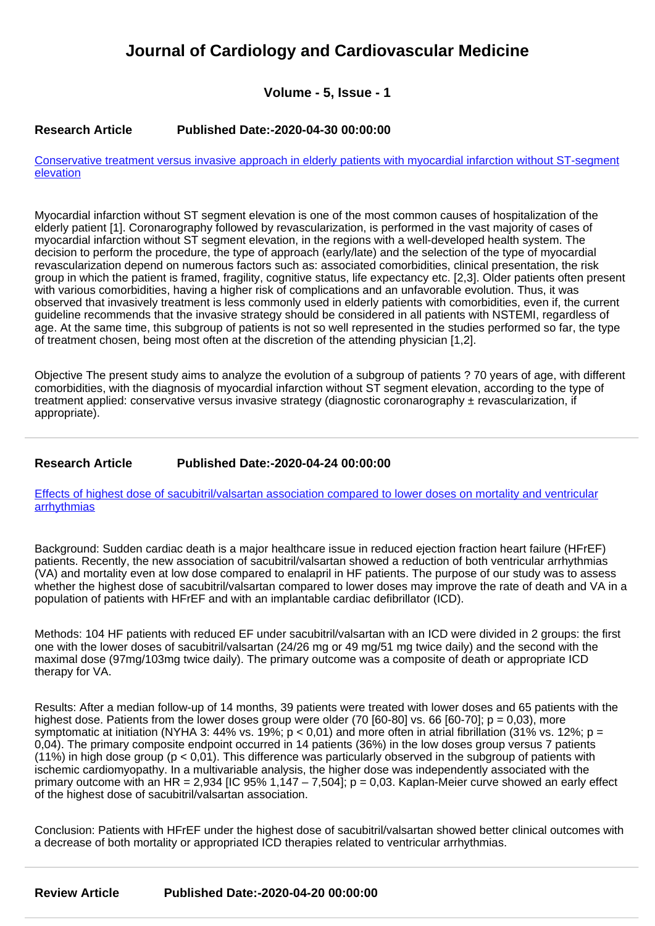# **Journal of Cardiology and Cardiovascular Medicine**

# **Volume - 5, Issue - 1**

## **Research Article Published Date:-2020-04-30 00:00:00**

[Conservative treatment versus invasive approach in elderly patients with myocardial infarction without ST-segment](https://www.cardiologymedjournal.com/articles/jccm-aid1094.pdf) [elevation](https://www.cardiologymedjournal.com/articles/jccm-aid1094.pdf)

Myocardial infarction without ST segment elevation is one of the most common causes of hospitalization of the elderly patient [1]. Coronarography followed by revascularization, is performed in the vast majority of cases of myocardial infarction without ST segment elevation, in the regions with a well-developed health system. The decision to perform the procedure, the type of approach (early/late) and the selection of the type of myocardial revascularization depend on numerous factors such as: associated comorbidities, clinical presentation, the risk group in which the patient is framed, fragility, cognitive status, life expectancy etc. [2,3]. Older patients often present with various comorbidities, having a higher risk of complications and an unfavorable evolution. Thus, it was observed that invasively treatment is less commonly used in elderly patients with comorbidities, even if, the current guideline recommends that the invasive strategy should be considered in all patients with NSTEMI, regardless of age. At the same time, this subgroup of patients is not so well represented in the studies performed so far, the type of treatment chosen, being most often at the discretion of the attending physician [1,2].

Objective The present study aims to analyze the evolution of a subgroup of patients ? 70 years of age, with different comorbidities, with the diagnosis of myocardial infarction without ST segment elevation, according to the type of treatment applied: conservative versus invasive strategy (diagnostic coronarography  $\pm$  revascularization, if appropriate).

# **Research Article Published Date:-2020-04-24 00:00:00**

[Effects of highest dose of sacubitril/valsartan association compared to lower doses on mortality and ventricular](https://www.cardiologymedjournal.com/articles/jccm-aid1092.pdf) [arrhythmias](https://www.cardiologymedjournal.com/articles/jccm-aid1092.pdf)

Background: Sudden cardiac death is a major healthcare issue in reduced ejection fraction heart failure (HFrEF) patients. Recently, the new association of sacubitril/valsartan showed a reduction of both ventricular arrhythmias (VA) and mortality even at low dose compared to enalapril in HF patients. The purpose of our study was to assess whether the highest dose of sacubitril/valsartan compared to lower doses may improve the rate of death and VA in a population of patients with HFrEF and with an implantable cardiac defibrillator (ICD).

Methods: 104 HF patients with reduced EF under sacubitril/valsartan with an ICD were divided in 2 groups: the first one with the lower doses of sacubitril/valsartan (24/26 mg or 49 mg/51 mg twice daily) and the second with the maximal dose (97mg/103mg twice daily). The primary outcome was a composite of death or appropriate ICD therapy for VA.

Results: After a median follow-up of 14 months, 39 patients were treated with lower doses and 65 patients with the highest dose. Patients from the lower doses group were older (70  $[60-80]$  vs. 66  $[60-70]$ ; p = 0,03), more symptomatic at initiation (NYHA 3: 44% vs. 19%;  $p < 0.01$ ) and more often in atrial fibrillation (31% vs. 12%;  $p =$ 0,04). The primary composite endpoint occurred in 14 patients (36%) in the low doses group versus 7 patients (11%) in high dose group (p < 0,01). This difference was particularly observed in the subgroup of patients with ischemic cardiomyopathy. In a multivariable analysis, the higher dose was independently associated with the primary outcome with an HR = 2,934 [IC 95% 1,147 – 7,504];  $p = 0.03$ . Kaplan-Meier curve showed an early effect of the highest dose of sacubitril/valsartan association.

Conclusion: Patients with HFrEF under the highest dose of sacubitril/valsartan showed better clinical outcomes with a decrease of both mortality or appropriated ICD therapies related to ventricular arrhythmias.

**Review Article Published Date:-2020-04-20 00:00:00**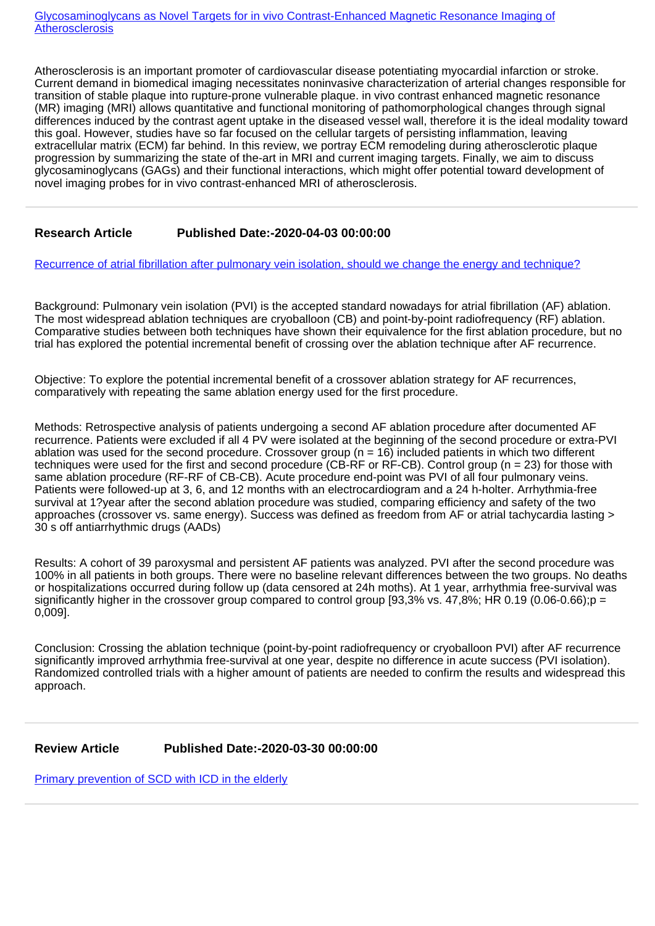Atherosclerosis is an important promoter of cardiovascular disease potentiating myocardial infarction or stroke. Current demand in biomedical imaging necessitates noninvasive characterization of arterial changes responsible for transition of stable plaque into rupture-prone vulnerable plaque. in vivo contrast enhanced magnetic resonance (MR) imaging (MRI) allows quantitative and functional monitoring of pathomorphological changes through signal differences induced by the contrast agent uptake in the diseased vessel wall, therefore it is the ideal modality toward this goal. However, studies have so far focused on the cellular targets of persisting inflammation, leaving extracellular matrix (ECM) far behind. In this review, we portray ECM remodeling during atherosclerotic plaque progression by summarizing the state of the-art in MRI and current imaging targets. Finally, we aim to discuss glycosaminoglycans (GAGs) and their functional interactions, which might offer potential toward development of novel imaging probes for in vivo contrast-enhanced MRI of atherosclerosis.

# **Research Article Published Date:-2020-04-03 00:00:00**

[Recurrence of atrial fibrillation after pulmonary vein isolation, should we change the energy and technique?](https://www.cardiologymedjournal.com/articles/jccm-aid1090.pdf)

Background: Pulmonary vein isolation (PVI) is the accepted standard nowadays for atrial fibrillation (AF) ablation. The most widespread ablation techniques are cryoballoon (CB) and point-by-point radiofrequency (RF) ablation. Comparative studies between both techniques have shown their equivalence for the first ablation procedure, but no trial has explored the potential incremental benefit of crossing over the ablation technique after AF recurrence.

Objective: To explore the potential incremental benefit of a crossover ablation strategy for AF recurrences, comparatively with repeating the same ablation energy used for the first procedure.

Methods: Retrospective analysis of patients undergoing a second AF ablation procedure after documented AF recurrence. Patients were excluded if all 4 PV were isolated at the beginning of the second procedure or extra-PVI ablation was used for the second procedure. Crossover group ( $n = 16$ ) included patients in which two different techniques were used for the first and second procedure (CB-RF or RF-CB). Control group (n = 23) for those with same ablation procedure (RF-RF of CB-CB). Acute procedure end-point was PVI of all four pulmonary veins. Patients were followed-up at 3, 6, and 12 months with an electrocardiogram and a 24 h-holter. Arrhythmia-free survival at 1?year after the second ablation procedure was studied, comparing efficiency and safety of the two approaches (crossover vs. same energy). Success was defined as freedom from AF or atrial tachycardia lasting > 30 s off antiarrhythmic drugs (AADs)

Results: A cohort of 39 paroxysmal and persistent AF patients was analyzed. PVI after the second procedure was 100% in all patients in both groups. There were no baseline relevant differences between the two groups. No deaths or hospitalizations occurred during follow up (data censored at 24h moths). At 1 year, arrhythmia free-survival was significantly higher in the crossover group compared to control group [93,3% vs. 47,8%; HR 0.19 (0.06-0.66);  $p =$ 0,009].

Conclusion: Crossing the ablation technique (point-by-point radiofrequency or cryoballoon PVI) after AF recurrence significantly improved arrhythmia free-survival at one year, despite no difference in acute success (PVI isolation). Randomized controlled trials with a higher amount of patients are needed to confirm the results and widespread this approach.

#### **Review Article Published Date:-2020-03-30 00:00:00**

[Primary prevention of SCD with ICD in the elderly](https://www.cardiologymedjournal.com/articles/jccm-aid1089.pdf)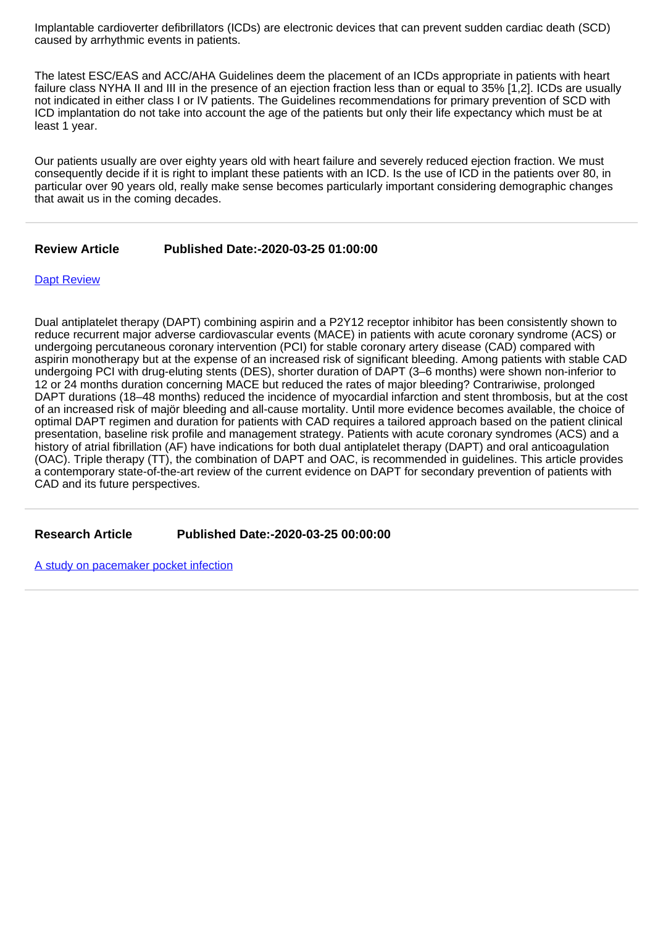Implantable cardioverter defibrillators (ICDs) are electronic devices that can prevent sudden cardiac death (SCD) caused by arrhythmic events in patients.

The latest ESC/EAS and ACC/AHA Guidelines deem the placement of an ICDs appropriate in patients with heart failure class NYHA II and III in the presence of an ejection fraction less than or equal to 35% [1,2]. ICDs are usually not indicated in either class I or IV patients. The Guidelines recommendations for primary prevention of SCD with ICD implantation do not take into account the age of the patients but only their life expectancy which must be at least 1 year.

Our patients usually are over eighty years old with heart failure and severely reduced ejection fraction. We must consequently decide if it is right to implant these patients with an ICD. Is the use of ICD in the patients over 80, in particular over 90 years old, really make sense becomes particularly important considering demographic changes that await us in the coming decades.

## **Review Article Published Date:-2020-03-25 01:00:00**

#### **[Dapt Review](https://www.cardiologymedjournal.com/articles/jccm-aid1088.pdf)**

Dual antiplatelet therapy (DAPT) combining aspirin and a P2Y12 receptor inhibitor has been consistently shown to reduce recurrent major adverse cardiovascular events (MACE) in patients with acute coronary syndrome (ACS) or undergoing percutaneous coronary intervention (PCI) for stable coronary artery disease (CAD) compared with aspirin monotherapy but at the expense of an increased risk of significant bleeding. Among patients with stable CAD undergoing PCI with drug-eluting stents (DES), shorter duration of DAPT (3–6 months) were shown non-inferior to 12 or 24 months duration concerning MACE but reduced the rates of major bleeding? Contrariwise, prolonged DAPT durations (18–48 months) reduced the incidence of myocardial infarction and stent thrombosis, but at the cost of an increased risk of majör bleeding and all-cause mortality. Until more evidence becomes available, the choice of optimal DAPT regimen and duration for patients with CAD requires a tailored approach based on the patient clinical presentation, baseline risk profile and management strategy. Patients with acute coronary syndromes (ACS) and a history of atrial fibrillation (AF) have indications for both dual antiplatelet therapy (DAPT) and oral anticoagulation (OAC). Triple therapy (TT), the combination of DAPT and OAC, is recommended in guidelines. This article provides a contemporary state-of-the-art review of the current evidence on DAPT for secondary prevention of patients with CAD and its future perspectives.

**Research Article Published Date:-2020-03-25 00:00:00**

[A study on pacemaker pocket infection](https://www.cardiologymedjournal.com/articles/jccm-aid1087.pdf)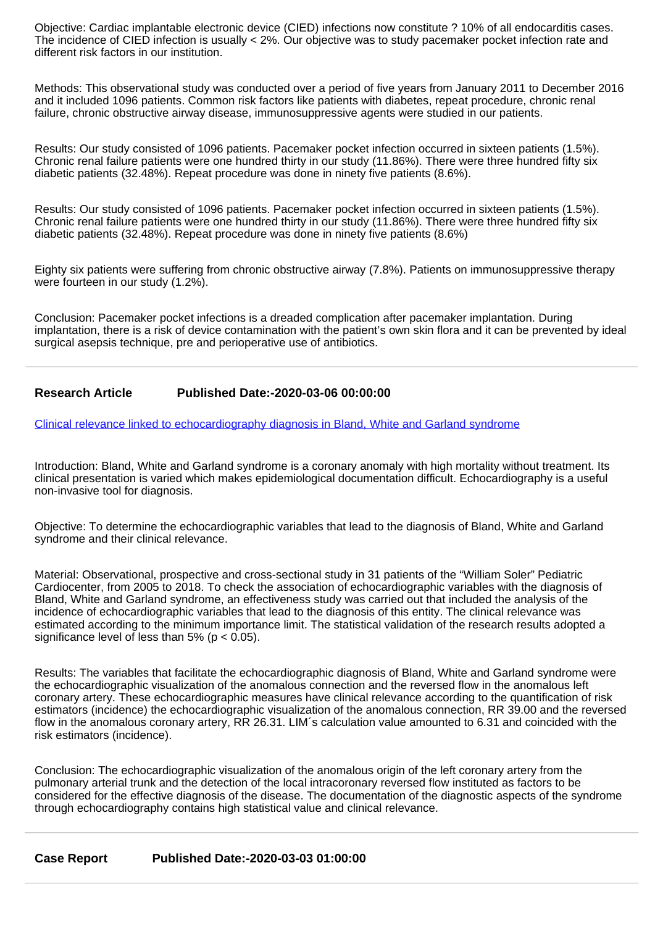Objective: Cardiac implantable electronic device (CIED) infections now constitute ? 10% of all endocarditis cases. The incidence of CIED infection is usually < 2%. Our objective was to study pacemaker pocket infection rate and different risk factors in our institution.

Methods: This observational study was conducted over a period of five years from January 2011 to December 2016 and it included 1096 patients. Common risk factors like patients with diabetes, repeat procedure, chronic renal failure, chronic obstructive airway disease, immunosuppressive agents were studied in our patients.

Results: Our study consisted of 1096 patients. Pacemaker pocket infection occurred in sixteen patients (1.5%). Chronic renal failure patients were one hundred thirty in our study (11.86%). There were three hundred fifty six diabetic patients (32.48%). Repeat procedure was done in ninety five patients (8.6%).

Results: Our study consisted of 1096 patients. Pacemaker pocket infection occurred in sixteen patients (1.5%). Chronic renal failure patients were one hundred thirty in our study (11.86%). There were three hundred fifty six diabetic patients (32.48%). Repeat procedure was done in ninety five patients (8.6%)

Eighty six patients were suffering from chronic obstructive airway (7.8%). Patients on immunosuppressive therapy were fourteen in our study (1.2%).

Conclusion: Pacemaker pocket infections is a dreaded complication after pacemaker implantation. During implantation, there is a risk of device contamination with the patient's own skin flora and it can be prevented by ideal surgical asepsis technique, pre and perioperative use of antibiotics.

# **Research Article Published Date:-2020-03-06 00:00:00**

[Clinical relevance linked to echocardiography diagnosis in Bland, White and Garland syndrome](https://www.cardiologymedjournal.com/articles/jccm-aid1086.pdf)

Introduction: Bland, White and Garland syndrome is a coronary anomaly with high mortality without treatment. Its clinical presentation is varied which makes epidemiological documentation difficult. Echocardiography is a useful non-invasive tool for diagnosis.

Objective: To determine the echocardiographic variables that lead to the diagnosis of Bland, White and Garland syndrome and their clinical relevance.

Material: Observational, prospective and cross-sectional study in 31 patients of the "William Soler" Pediatric Cardiocenter, from 2005 to 2018. To check the association of echocardiographic variables with the diagnosis of Bland, White and Garland syndrome, an effectiveness study was carried out that included the analysis of the incidence of echocardiographic variables that lead to the diagnosis of this entity. The clinical relevance was estimated according to the minimum importance limit. The statistical validation of the research results adopted a significance level of less than  $5\%$  (p < 0.05).

Results: The variables that facilitate the echocardiographic diagnosis of Bland, White and Garland syndrome were the echocardiographic visualization of the anomalous connection and the reversed flow in the anomalous left coronary artery. These echocardiographic measures have clinical relevance according to the quantification of risk estimators (incidence) the echocardiographic visualization of the anomalous connection, RR 39.00 and the reversed flow in the anomalous coronary artery, RR 26.31. LIM's calculation value amounted to 6.31 and coincided with the risk estimators (incidence).

Conclusion: The echocardiographic visualization of the anomalous origin of the left coronary artery from the pulmonary arterial trunk and the detection of the local intracoronary reversed flow instituted as factors to be considered for the effective diagnosis of the disease. The documentation of the diagnostic aspects of the syndrome through echocardiography contains high statistical value and clinical relevance.

**Case Report Published Date:-2020-03-03 01:00:00**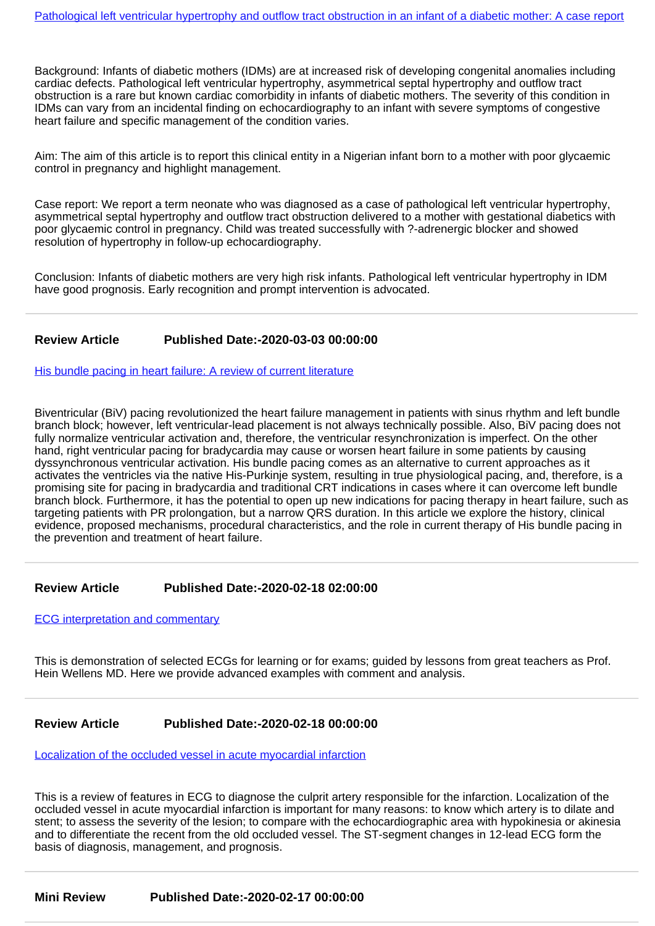Background: Infants of diabetic mothers (IDMs) are at increased risk of developing congenital anomalies including cardiac defects. Pathological left ventricular hypertrophy, asymmetrical septal hypertrophy and outflow tract obstruction is a rare but known cardiac comorbidity in infants of diabetic mothers. The severity of this condition in IDMs can vary from an incidental finding on echocardiography to an infant with severe symptoms of congestive heart failure and specific management of the condition varies.

Aim: The aim of this article is to report this clinical entity in a Nigerian infant born to a mother with poor glycaemic control in pregnancy and highlight management.

Case report: We report a term neonate who was diagnosed as a case of pathological left ventricular hypertrophy, asymmetrical septal hypertrophy and outflow tract obstruction delivered to a mother with gestational diabetics with poor glycaemic control in pregnancy. Child was treated successfully with ?-adrenergic blocker and showed resolution of hypertrophy in follow-up echocardiography.

Conclusion: Infants of diabetic mothers are very high risk infants. Pathological left ventricular hypertrophy in IDM have good prognosis. Early recognition and prompt intervention is advocated.

## **Review Article Published Date:-2020-03-03 00:00:00**

[His bundle pacing in heart failure: A review of current literature](https://www.cardiologymedjournal.com/articles/jccm-aid1084.pdf)

Biventricular (BiV) pacing revolutionized the heart failure management in patients with sinus rhythm and left bundle branch block; however, left ventricular-lead placement is not always technically possible. Also, BiV pacing does not fully normalize ventricular activation and, therefore, the ventricular resynchronization is imperfect. On the other hand, right ventricular pacing for bradycardia may cause or worsen heart failure in some patients by causing dyssynchronous ventricular activation. His bundle pacing comes as an alternative to current approaches as it activates the ventricles via the native His-Purkinje system, resulting in true physiological pacing, and, therefore, is a promising site for pacing in bradycardia and traditional CRT indications in cases where it can overcome left bundle branch block. Furthermore, it has the potential to open up new indications for pacing therapy in heart failure, such as targeting patients with PR prolongation, but a narrow QRS duration. In this article we explore the history, clinical evidence, proposed mechanisms, procedural characteristics, and the role in current therapy of His bundle pacing in the prevention and treatment of heart failure.

#### **Review Article Published Date:-2020-02-18 02:00:00**

**ECG** interpretation and commentary

This is demonstration of selected ECGs for learning or for exams; guided by lessons from great teachers as Prof. Hein Wellens MD. Here we provide advanced examples with comment and analysis.

#### **Review Article Published Date:-2020-02-18 00:00:00**

[Localization of the occluded vessel in acute myocardial infarction](https://www.cardiologymedjournal.com/articles/jccm-aid1082.pdf)

This is a review of features in ECG to diagnose the culprit artery responsible for the infarction. Localization of the occluded vessel in acute myocardial infarction is important for many reasons: to know which artery is to dilate and stent; to assess the severity of the lesion; to compare with the echocardiographic area with hypokinesia or akinesia and to differentiate the recent from the old occluded vessel. The ST-segment changes in 12-lead ECG form the basis of diagnosis, management, and prognosis.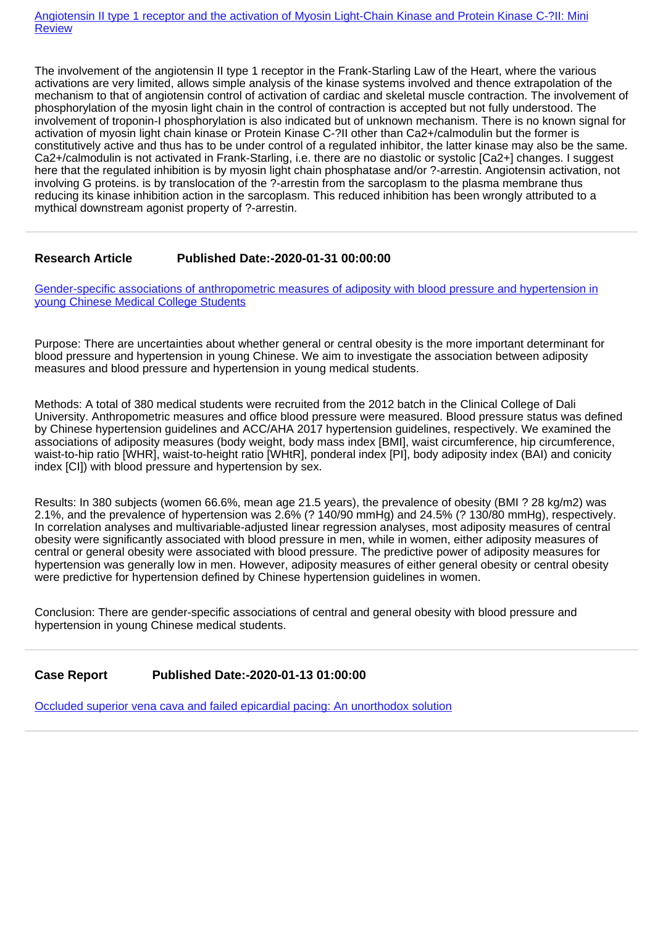[Angiotensin II type 1 receptor and the activation of Myosin Light-Chain Kinase and Protein Kinase C-?II: Mini](https://www.cardiologymedjournal.com/articles/jccm-aid1081.pdf) **[Review](https://www.cardiologymedjournal.com/articles/jccm-aid1081.pdf)** 

The involvement of the angiotensin II type 1 receptor in the Frank-Starling Law of the Heart, where the various activations are very limited, allows simple analysis of the kinase systems involved and thence extrapolation of the mechanism to that of angiotensin control of activation of cardiac and skeletal muscle contraction. The involvement of phosphorylation of the myosin light chain in the control of contraction is accepted but not fully understood. The involvement of troponin-I phosphorylation is also indicated but of unknown mechanism. There is no known signal for activation of myosin light chain kinase or Protein Kinase C-?II other than Ca2+/calmodulin but the former is constitutively active and thus has to be under control of a regulated inhibitor, the latter kinase may also be the same. Ca2+/calmodulin is not activated in Frank-Starling, i.e. there are no diastolic or systolic [Ca2+] changes. I suggest here that the regulated inhibition is by myosin light chain phosphatase and/or ?-arrestin. Angiotensin activation, not involving G proteins. is by translocation of the ?-arrestin from the sarcoplasm to the plasma membrane thus reducing its kinase inhibition action in the sarcoplasm. This reduced inhibition has been wrongly attributed to a mythical downstream agonist property of ?-arrestin.

## **Research Article Published Date:-2020-01-31 00:00:00**

[Gender-specific associations of anthropometric measures of adiposity with blood pressure and hypertension in](https://www.cardiologymedjournal.com/articles/jccm-aid1080.pdf) [young Chinese Medical College Students](https://www.cardiologymedjournal.com/articles/jccm-aid1080.pdf)

Purpose: There are uncertainties about whether general or central obesity is the more important determinant for blood pressure and hypertension in young Chinese. We aim to investigate the association between adiposity measures and blood pressure and hypertension in young medical students.

Methods: A total of 380 medical students were recruited from the 2012 batch in the Clinical College of Dali University. Anthropometric measures and office blood pressure were measured. Blood pressure status was defined by Chinese hypertension guidelines and ACC/AHA 2017 hypertension guidelines, respectively. We examined the associations of adiposity measures (body weight, body mass index [BMI], waist circumference, hip circumference, waist-to-hip ratio [WHR], waist-to-height ratio [WHtR], ponderal index [PI], body adiposity index (BAI) and conicity index [CI]) with blood pressure and hypertension by sex.

Results: In 380 subjects (women 66.6%, mean age 21.5 years), the prevalence of obesity (BMI ? 28 kg/m2) was 2.1%, and the prevalence of hypertension was 2.6% (? 140/90 mmHg) and 24.5% (? 130/80 mmHg), respectively. In correlation analyses and multivariable-adjusted linear regression analyses, most adiposity measures of central obesity were significantly associated with blood pressure in men, while in women, either adiposity measures of central or general obesity were associated with blood pressure. The predictive power of adiposity measures for hypertension was generally low in men. However, adiposity measures of either general obesity or central obesity were predictive for hypertension defined by Chinese hypertension guidelines in women.

Conclusion: There are gender-specific associations of central and general obesity with blood pressure and hypertension in young Chinese medical students.

**Case Report Published Date:-2020-01-13 01:00:00**

[Occluded superior vena cava and failed epicardial pacing: An unorthodox solution](https://www.cardiologymedjournal.com/articles/jccm-aid1079.pdf)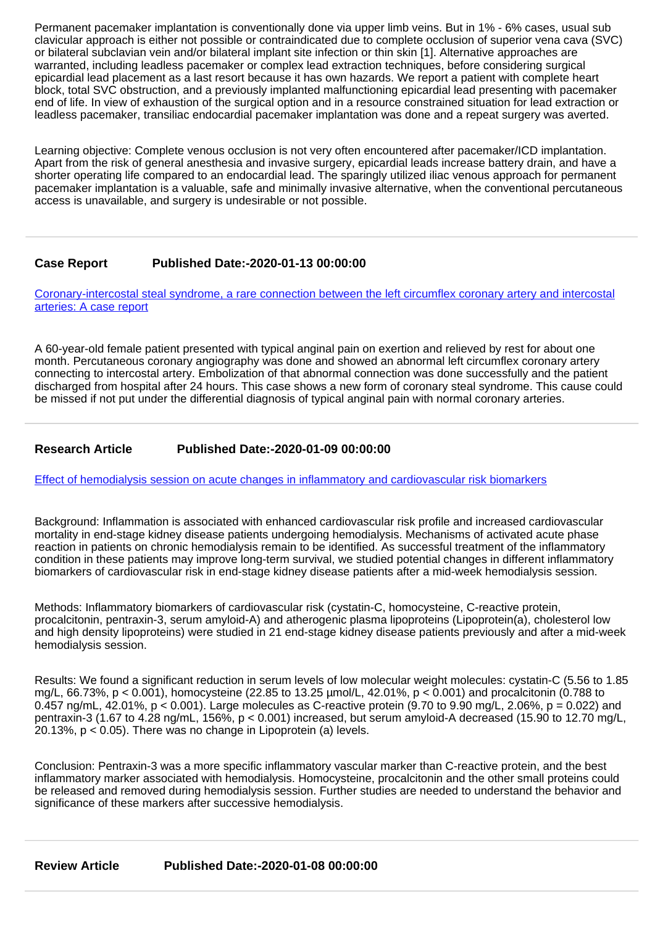Permanent pacemaker implantation is conventionally done via upper limb veins. But in 1% - 6% cases, usual sub clavicular approach is either not possible or contraindicated due to complete occlusion of superior vena cava (SVC) or bilateral subclavian vein and/or bilateral implant site infection or thin skin [1]. Alternative approaches are warranted, including leadless pacemaker or complex lead extraction techniques, before considering surgical epicardial lead placement as a last resort because it has own hazards. We report a patient with complete heart block, total SVC obstruction, and a previously implanted malfunctioning epicardial lead presenting with pacemaker end of life. In view of exhaustion of the surgical option and in a resource constrained situation for lead extraction or leadless pacemaker, transiliac endocardial pacemaker implantation was done and a repeat surgery was averted.

Learning objective: Complete venous occlusion is not very often encountered after pacemaker/ICD implantation. Apart from the risk of general anesthesia and invasive surgery, epicardial leads increase battery drain, and have a shorter operating life compared to an endocardial lead. The sparingly utilized iliac venous approach for permanent pacemaker implantation is a valuable, safe and minimally invasive alternative, when the conventional percutaneous access is unavailable, and surgery is undesirable or not possible.

# **Case Report Published Date:-2020-01-13 00:00:00**

[Coronary-intercostal steal syndrome, a rare connection between the left circumflex coronary artery and intercostal](https://www.cardiologymedjournal.com/articles/jccm-aid1078.pdf) [arteries: A case report](https://www.cardiologymedjournal.com/articles/jccm-aid1078.pdf)

A 60-year-old female patient presented with typical anginal pain on exertion and relieved by rest for about one month. Percutaneous coronary angiography was done and showed an abnormal left circumflex coronary artery connecting to intercostal artery. Embolization of that abnormal connection was done successfully and the patient discharged from hospital after 24 hours. This case shows a new form of coronary steal syndrome. This cause could be missed if not put under the differential diagnosis of typical anginal pain with normal coronary arteries.

## **Research Article Published Date:-2020-01-09 00:00:00**

[Effect of hemodialysis session on acute changes in inflammatory and cardiovascular risk biomarkers](https://www.cardiologymedjournal.com/articles/jccm-aid1077.pdf)

Background: Inflammation is associated with enhanced cardiovascular risk profile and increased cardiovascular mortality in end-stage kidney disease patients undergoing hemodialysis. Mechanisms of activated acute phase reaction in patients on chronic hemodialysis remain to be identified. As successful treatment of the inflammatory condition in these patients may improve long-term survival, we studied potential changes in different inflammatory biomarkers of cardiovascular risk in end-stage kidney disease patients after a mid-week hemodialysis session.

Methods: Inflammatory biomarkers of cardiovascular risk (cystatin-C, homocysteine, C-reactive protein, procalcitonin, pentraxin-3, serum amyloid-A) and atherogenic plasma lipoproteins (Lipoprotein(a), cholesterol low and high density lipoproteins) were studied in 21 end-stage kidney disease patients previously and after a mid-week hemodialysis session.

Results: We found a significant reduction in serum levels of low molecular weight molecules: cystatin-C (5.56 to 1.85 mg/L, 66.73%, p < 0.001), homocysteine (22.85 to 13.25 µmol/L, 42.01%, p < 0.001) and procalcitonin (0.788 to 0.457 ng/mL, 42.01%,  $p < 0.001$ ). Large molecules as C-reactive protein (9.70 to 9.90 mg/L, 2.06%,  $p = 0.022$ ) and pentraxin-3 (1.67 to 4.28 ng/mL, 156%, p < 0.001) increased, but serum amyloid-A decreased (15.90 to 12.70 mg/L, 20.13%, p < 0.05). There was no change in Lipoprotein (a) levels.

Conclusion: Pentraxin-3 was a more specific inflammatory vascular marker than C-reactive protein, and the best inflammatory marker associated with hemodialysis. Homocysteine, procalcitonin and the other small proteins could be released and removed during hemodialysis session. Further studies are needed to understand the behavior and significance of these markers after successive hemodialysis.